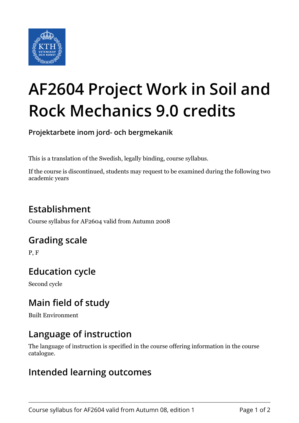

# **AF2604 Project Work in Soil and Rock Mechanics 9.0 credits**

**Projektarbete inom jord- och bergmekanik**

This is a translation of the Swedish, legally binding, course syllabus.

If the course is discontinued, students may request to be examined during the following two academic years

# **Establishment**

Course syllabus for AF2604 valid from Autumn 2008

## **Grading scale**

P, F

# **Education cycle**

Second cycle

## **Main field of study**

Built Environment

## **Language of instruction**

The language of instruction is specified in the course offering information in the course catalogue.

#### **Intended learning outcomes**